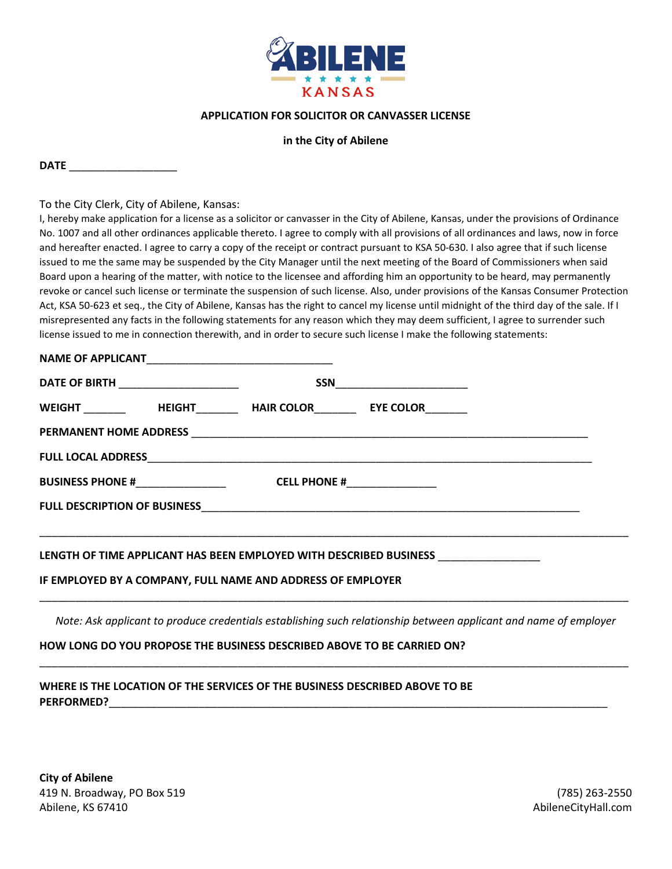

### **APPLICATION FOR SOLICITOR OR CANVASSER LICENSE**

#### **in the City of Abilene**

**DATE** \_\_\_\_\_\_\_\_\_\_\_\_\_\_\_\_\_\_

To the City Clerk, City of Abilene, Kansas:

I, hereby make application for a license as a solicitor or canvasser in the City of Abilene, Kansas, under the provisions of Ordinance No. 1007 and all other ordinances applicable thereto. I agree to comply with all provisions of all ordinances and laws, now in force and hereafter enacted. I agree to carry a copy of the receipt or contract pursuant to KSA 50-630. I also agree that if such license issued to me the same may be suspended by the City Manager until the next meeting of the Board of Commissioners when said Board upon a hearing of the matter, with notice to the licensee and affording him an opportunity to be heard, may permanently revoke or cancel such license or terminate the suspension of such license. Also, under provisions of the Kansas Consumer Protection Act, KSA 50-623 et seq., the City of Abilene, Kansas has the right to cancel my license until midnight of the third day of the sale. If I misrepresented any facts in the following statements for any reason which they may deem sufficient, I agree to surrender such license issued to me in connection therewith, and in order to secure such license I make the following statements:

#### NAME OF APPLICANT

| DATE OF BIRTH ____________________  |               | $\begin{picture}(25,10) \put(0,0){\dashbox{0.5}(5,0){ }} \put(15,0){\circle{10}} \put(15,0){\circle{10}} \put(15,0){\circle{10}} \put(15,0){\circle{10}} \put(15,0){\circle{10}} \put(15,0){\circle{10}} \put(15,0){\circle{10}} \put(15,0){\circle{10}} \put(15,0){\circle{10}} \put(15,0){\circle{10}} \put(15,0){\circle{10}} \put(15,0){\circle{10}} \put(15,0){\circle{10}} \put(15,0$ |                  |
|-------------------------------------|---------------|---------------------------------------------------------------------------------------------------------------------------------------------------------------------------------------------------------------------------------------------------------------------------------------------------------------------------------------------------------------------------------------------|------------------|
| <b>WEIGHT</b>                       | <b>HEIGHT</b> | <b>HAIR COLOR</b>                                                                                                                                                                                                                                                                                                                                                                           | <b>EYE COLOR</b> |
|                                     |               |                                                                                                                                                                                                                                                                                                                                                                                             |                  |
|                                     |               |                                                                                                                                                                                                                                                                                                                                                                                             |                  |
| <b>BUSINESS PHONE #</b>             |               | CELL PHONE #                                                                                                                                                                                                                                                                                                                                                                                |                  |
| <b>FULL DESCRIPTION OF BUSINESS</b> |               |                                                                                                                                                                                                                                                                                                                                                                                             |                  |

#### **LENGTH OF TIME APPLICANT HAS BEEN EMPLOYED WITH DESCRIBED BUSINESS** \_\_\_\_\_\_\_\_\_\_\_\_\_\_\_\_\_

#### **IF EMPLOYED BY A COMPANY, FULL NAME AND ADDRESS OF EMPLOYER**

*Note: Ask applicant to produce credentials establishing such relationship between applicant and name of employer*

\_\_\_\_\_\_\_\_\_\_\_\_\_\_\_\_\_\_\_\_\_\_\_\_\_\_\_\_\_\_\_\_\_\_\_\_\_\_\_\_\_\_\_\_\_\_\_\_\_\_\_\_\_\_\_\_\_\_\_\_\_\_\_\_\_\_\_\_\_\_\_\_\_\_\_\_\_\_\_\_\_\_\_\_\_\_\_\_\_\_\_\_\_\_\_\_\_\_

\_\_\_\_\_\_\_\_\_\_\_\_\_\_\_\_\_\_\_\_\_\_\_\_\_\_\_\_\_\_\_\_\_\_\_\_\_\_\_\_\_\_\_\_\_\_\_\_\_\_\_\_\_\_\_\_\_\_\_\_\_\_\_\_\_\_\_\_\_\_\_\_\_\_\_\_\_\_\_\_\_\_\_\_\_\_\_\_\_\_\_\_\_\_\_\_\_\_

\_\_\_\_\_\_\_\_\_\_\_\_\_\_\_\_\_\_\_\_\_\_\_\_\_\_\_\_\_\_\_\_\_\_\_\_\_\_\_\_\_\_\_\_\_\_\_\_\_\_\_\_\_\_\_\_\_\_\_\_\_\_\_\_\_\_\_\_\_\_\_\_\_\_\_\_\_\_\_\_\_\_\_\_\_\_\_\_\_\_\_\_\_\_\_\_\_\_

#### **HOW LONG DO YOU PROPOSE THE BUSINESS DESCRIBED ABOVE TO BE CARRIED ON?**

## **WHERE IS THE LOCATION OF THE SERVICES OF THE BUSINESS DESCRIBED ABOVE TO BE**  PERFORMED?

**City of Abilene**  419 N. Broadway, PO Box 519 (785) 263-2550 Abilene, KS 67410 **AbileneCityHall.com**